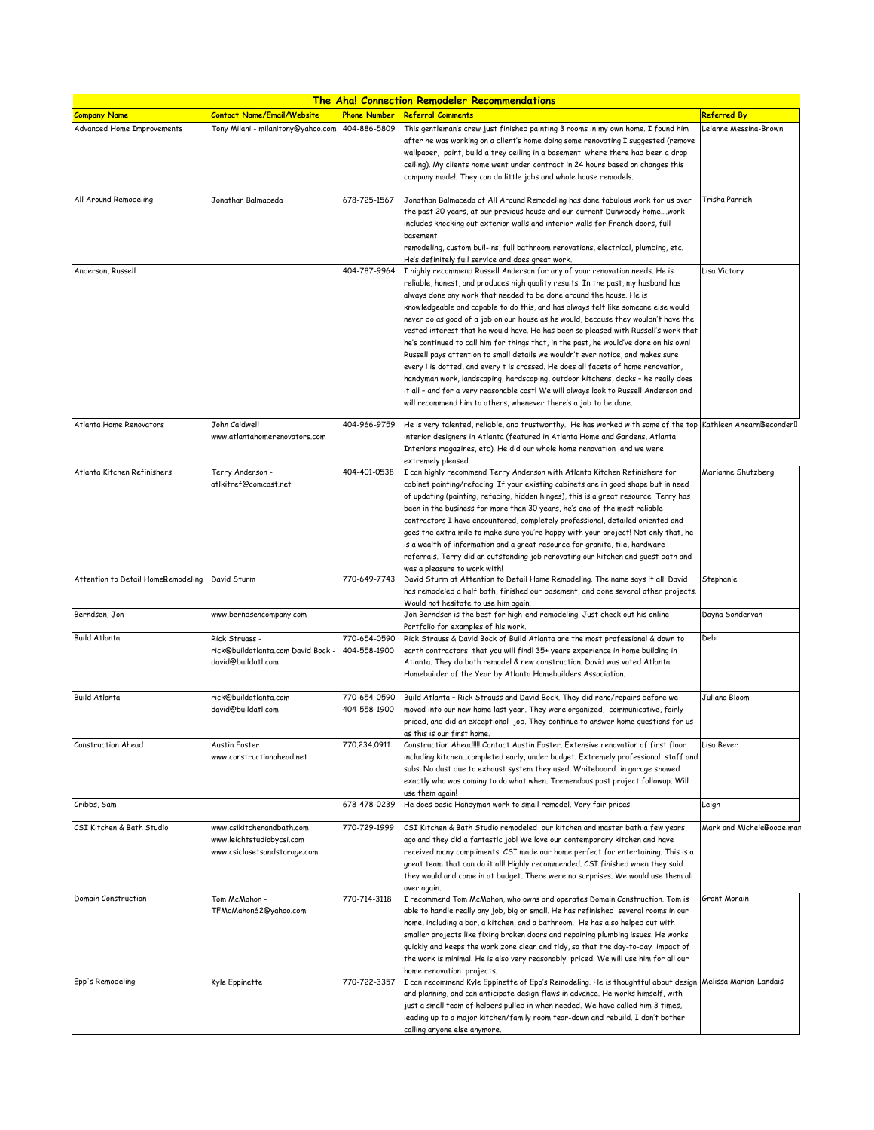| <u>The Aha! Connection Remodeler Recommendations</u> |                                                                                        |                              |                                                                                                                                                                                                                                                                                                                                                                                                                                                                                                                                                                                                                                                                                                                                                                                                                                                                                                                                                                                                                                                                                 |                           |  |  |
|------------------------------------------------------|----------------------------------------------------------------------------------------|------------------------------|---------------------------------------------------------------------------------------------------------------------------------------------------------------------------------------------------------------------------------------------------------------------------------------------------------------------------------------------------------------------------------------------------------------------------------------------------------------------------------------------------------------------------------------------------------------------------------------------------------------------------------------------------------------------------------------------------------------------------------------------------------------------------------------------------------------------------------------------------------------------------------------------------------------------------------------------------------------------------------------------------------------------------------------------------------------------------------|---------------------------|--|--|
| <b>Company Name</b>                                  | <b>Contact Name/Email/Website</b>                                                      | <b>Phone Number</b>          | <b>Referral Comments</b>                                                                                                                                                                                                                                                                                                                                                                                                                                                                                                                                                                                                                                                                                                                                                                                                                                                                                                                                                                                                                                                        | <b>Referred By</b>        |  |  |
| Advanced Home Improvements                           | Tony Milani - milanitony@yahoo.com                                                     | 404-886-5809                 | This gentleman's crew just finished painting 3 rooms in my own home. I found him<br>after he was working on a client's home doing some renovating I suggested (remove<br>wallpaper, paint, build a trey ceiling in a basement where there had been a drop<br>ceiling). My clients home went under contract in 24 hours based on changes this<br>company made!. They can do little jobs and whole house remodels.                                                                                                                                                                                                                                                                                                                                                                                                                                                                                                                                                                                                                                                                | Leianne Messina-Brown     |  |  |
| All Around Remodeling                                | Jonathan Balmaceda                                                                     | 678-725-1567                 | Jonathan Balmaceda of All Around Remodeling has done fabulous work for us over<br>the past 20 years, at our previous house and our current Dunwoody homework<br>includes knocking out exterior walls and interior walls for French doors, full<br>basement<br>remodeling, custom buil-ins, full bathroom renovations, electrical, plumbing, etc.                                                                                                                                                                                                                                                                                                                                                                                                                                                                                                                                                                                                                                                                                                                                | Trisha Parrish            |  |  |
| Anderson, Russell                                    |                                                                                        | 404-787-9964                 | He's definitely full service and does great work.<br>I highly recommend Russell Anderson for any of your renovation needs. He is<br>reliable, honest, and produces high quality results. In the past, my husband has<br>always done any work that needed to be done around the house. He is<br>knowledgeable and capable to do this, and has always felt like someone else would<br>never do as good of a job on our house as he would, because they wouldn't have the<br>vested interest that he would have. He has been so pleased with Russell's work that<br>he's continued to call him for things that, in the past, he would've done on his own!<br>Russell pays attention to small details we wouldn't ever notice, and makes sure<br>every i is dotted, and every t is crossed. He does all facets of home renovation,<br>handyman work, landscaping, hardscaping, outdoor kitchens, decks - he really does<br>it all - and for a very reasonable cost! We will always look to Russell Anderson and<br>will recommend him to others, whenever there's a job to be done. | Lisa Victory              |  |  |
| Atlanta Home Renovators                              | John Caldwell<br>www.atlantahomerenovators.com                                         | 404-966-9759                 | He is very talented, reliable, and trustworthy. He has worked with some of the top<br>interior designers in Atlanta (featured in Atlanta Home and Gardens, Atlanta<br>Interiors magazines, etc). He did our whole home renovation and we were<br>extremely pleased.                                                                                                                                                                                                                                                                                                                                                                                                                                                                                                                                                                                                                                                                                                                                                                                                             | Kathleen AhearnBeconder[] |  |  |
| Atlanta Kitchen Refinishers                          | Terry Anderson -<br>atlkitref@comcast.net                                              | 404-401-0538                 | I can highly recommend Terry Anderson with Atlanta Kitchen Refinishers for<br>cabinet painting/refacing. If your existing cabinets are in good shape but in need<br>of updating (painting, refacing, hidden hinges), this is a great resource. Terry has<br>been in the business for more than 30 years, he's one of the most reliable<br>contractors I have encountered, completely professional, detailed oriented and<br>goes the extra mile to make sure you're happy with your project! Not only that, he<br>is a wealth of information and a great resource for granite, tile, hardware<br>referrals. Terry did an outstanding job renovating our kitchen and guest bath and<br>was a pleasure to work with!                                                                                                                                                                                                                                                                                                                                                              | Marianne Shutzberg        |  |  |
| Attention to Detail HomeRemodeling                   | David Sturm                                                                            | 770-649-7743                 | David Sturm at Attention to Detail Home Remodeling. The name says it all! David<br>has remodeled a half bath, finished our basement, and done several other projects.<br>Would not hesitate to use him again,                                                                                                                                                                                                                                                                                                                                                                                                                                                                                                                                                                                                                                                                                                                                                                                                                                                                   | Stephanie                 |  |  |
| Berndsen, Jon                                        | www.berndsencompany.com                                                                |                              | Jon Berndsen is the best for high-end remodeling. Just check out his online<br>Portfolio for examples of his work.                                                                                                                                                                                                                                                                                                                                                                                                                                                                                                                                                                                                                                                                                                                                                                                                                                                                                                                                                              | Dayna Sondervan           |  |  |
| <b>Build Atlanta</b>                                 | Rick Struass -<br>rick@buildatlanta.com David Bock -<br>david@buildatl.com             | 770-654-0590<br>404-558-1900 | Rick Strauss & David Bock of Build Atlanta are the most professional & down to<br>earth contractors that you will find! 35+ years experience in home building in<br>Atlanta. They do both remodel & new construction. David was voted Atlanta<br>Homebuilder of the Year by Atlanta Homebuilders Association.                                                                                                                                                                                                                                                                                                                                                                                                                                                                                                                                                                                                                                                                                                                                                                   | Debi                      |  |  |
| <b>Build Atlanta</b>                                 | rick@buildatlanta.com<br>david@buildatl.com                                            | 770-654-0590<br>404-558-1900 | Build Atlanta - Rick Strauss and David Bock. They did reno/repairs before we<br>moved into our new home last year. They were organized, communicative, fairly<br>priced, and did an exceptional job. They continue to answer home questions for us                                                                                                                                                                                                                                                                                                                                                                                                                                                                                                                                                                                                                                                                                                                                                                                                                              | Juliana Bloom             |  |  |
| Construction Ahead                                   | Austin Foster<br>www.constructionahead.net                                             | 770.234.0911                 | as this is our first home.<br>Construction Ahead!!!! Contact Austin Foster. Extensive renovation of first floor<br>including kitchencompleted early, under budget. Extremely professional staff and<br>subs. No dust due to exhaust system they used. Whiteboard in garage showed<br>exactly who was coming to do what when. Tremendous post project followup. Will<br>use them again!                                                                                                                                                                                                                                                                                                                                                                                                                                                                                                                                                                                                                                                                                          | Lisa Bever                |  |  |
| Cribbs, Sam                                          |                                                                                        | 678-478-0239                 | He does basic Handyman work to small remodel. Very fair prices.                                                                                                                                                                                                                                                                                                                                                                                                                                                                                                                                                                                                                                                                                                                                                                                                                                                                                                                                                                                                                 | Leigh                     |  |  |
| CSI Kitchen & Bath Studio                            | www.csikitchenandbath.com<br>www.leichtstudiobycsi.com<br>www.csiclosetsandstorage.com | 770-729-1999                 | CSI Kitchen & Bath Studio remodeled our kitchen and master bath a few years<br>ago and they did a fantastic job! We love our contemporary kitchen and have<br>received many compliments. CSI made our home perfect for entertaining. This is a<br>great team that can do it all! Highly recommended. CSI finished when they said<br>they would and came in at budget. There were no surprises. We would use them all<br>over again.                                                                                                                                                                                                                                                                                                                                                                                                                                                                                                                                                                                                                                             | Mark and MicheleBoodelmar |  |  |
| <b>Domain Construction</b>                           | Tom McMahon -<br>TFMcMahon62@yahoo.com                                                 | 770-714-3118                 | I recommend Tom McMahon, who owns and operates Domain Construction. Tom is<br>able to handle really any job, big or small. He has refinished several rooms in our<br>home, including a bar, a kitchen, and a bathroom. He has also helped out with<br>smaller projects like fixing broken doors and repairing plumbing issues. He works<br>quickly and keeps the work zone clean and tidy, so that the day-to-day impact of<br>the work is minimal. He is also very reasonably priced. We will use him for all our<br>home renovation projects.                                                                                                                                                                                                                                                                                                                                                                                                                                                                                                                                 | Grant Morain              |  |  |
| Epp's Remodeling                                     | Kyle Eppinette                                                                         | 770-722-3357                 | I can recommend Kyle Eppinette of Epp's Remodeling. He is thoughtful about design<br>and planning, and can anticipate design flaws in advance. He works himself, with<br>just a small team of helpers pulled in when needed. We have called him 3 times,<br>leading up to a major kitchen/family room tear-down and rebuild. I don't bother<br>calling anyone else anymore.                                                                                                                                                                                                                                                                                                                                                                                                                                                                                                                                                                                                                                                                                                     | Melissa Marion-Landais    |  |  |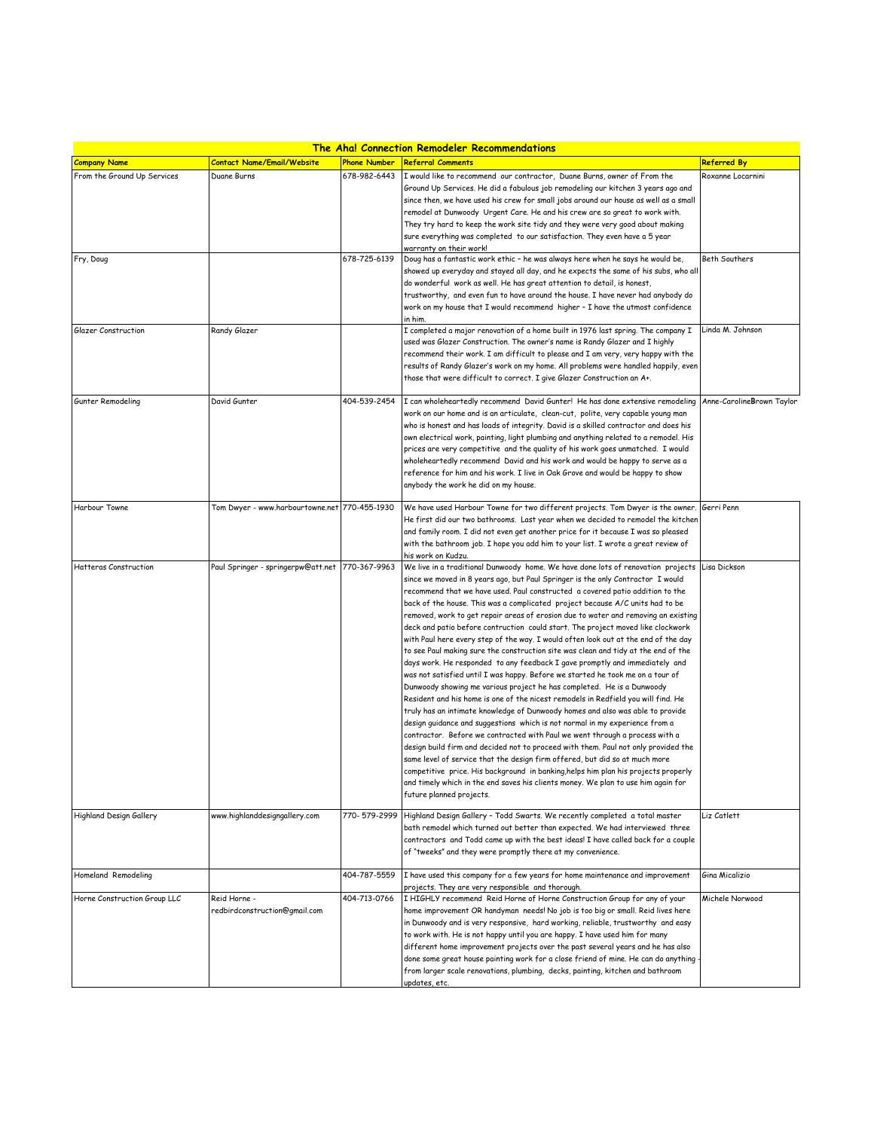| <u>The Aha! Connection Remodeler Recommendations</u> |                                               |                     |                                                                                                                                                                     |                    |  |
|------------------------------------------------------|-----------------------------------------------|---------------------|---------------------------------------------------------------------------------------------------------------------------------------------------------------------|--------------------|--|
| <b>Company Name</b>                                  | <b>Contact Name/Email/Website</b>             | <b>Phone Number</b> | <b>Referral Comments</b>                                                                                                                                            | <b>Referred By</b> |  |
| From the Ground Up Services                          | Duane Burns                                   | 678-982-6443        | I would like to recommend our contractor, Duane Burns, owner of From the                                                                                            | Roxanne Locarnini  |  |
|                                                      |                                               |                     | Ground Up Services. He did a fabulous job remodeling our kitchen 3 years ago and                                                                                    |                    |  |
|                                                      |                                               |                     | since then, we have used his crew for small jobs around our house as well as a small                                                                                |                    |  |
|                                                      |                                               |                     | remodel at Dunwoody Urgent Care. He and his crew are so great to work with.                                                                                         |                    |  |
|                                                      |                                               |                     | They try hard to keep the work site tidy and they were very good about making                                                                                       |                    |  |
|                                                      |                                               |                     | sure everything was completed to our satisfaction. They even have a 5 year                                                                                          |                    |  |
|                                                      |                                               |                     | warranty on their work!                                                                                                                                             |                    |  |
| Fry, Doug                                            |                                               | 678-725-6139        | Doug has a fantastic work ethic - he was always here when he says he would be,                                                                                      | Beth Southers      |  |
|                                                      |                                               |                     | showed up everyday and stayed all day, and he expects the same of his subs, who all                                                                                 |                    |  |
|                                                      |                                               |                     | do wonderful work as well. He has great attention to detail, is honest,                                                                                             |                    |  |
|                                                      |                                               |                     | trustworthy, and even fun to have around the house. I have never had anybody do                                                                                     |                    |  |
|                                                      |                                               |                     | work on my house that I would recommend higher - I have the utmost confidence                                                                                       |                    |  |
| Glazer Construction                                  | Randy Glazer                                  |                     | in him.<br>I completed a major renovation of a home built in 1976 last spring. The company I                                                                        | Linda M. Johnson   |  |
|                                                      |                                               |                     | used was Glazer Construction. The owner's name is Randy Glazer and I highly                                                                                         |                    |  |
|                                                      |                                               |                     | recommend their work. I am difficult to please and I am very, very happy with the                                                                                   |                    |  |
|                                                      |                                               |                     | results of Randy Glazer's work on my home. All problems were handled happily, even                                                                                  |                    |  |
|                                                      |                                               |                     | those that were difficult to correct. I give Glazer Construction an A+.                                                                                             |                    |  |
|                                                      |                                               |                     |                                                                                                                                                                     |                    |  |
| Gunter Remodeling                                    | David Gunter                                  | 404-539-2454        | I can wholeheartedly recommend David Gunter! He has done extensive remodeling Anne-CarolineBrown Taylor                                                             |                    |  |
|                                                      |                                               |                     | work on our home and is an articulate, clean-cut, polite, very capable young man                                                                                    |                    |  |
|                                                      |                                               |                     | who is honest and has loads of integrity. David is a skilled contractor and does his                                                                                |                    |  |
|                                                      |                                               |                     | own electrical work, painting, light plumbing and anything related to a remodel. His                                                                                |                    |  |
|                                                      |                                               |                     | prices are very competitive and the quality of his work goes unmatched. I would                                                                                     |                    |  |
|                                                      |                                               |                     | wholeheartedly recommend David and his work and would be happy to serve as a                                                                                        |                    |  |
|                                                      |                                               |                     | reference for him and his work. I live in Oak Grove and would be happy to show                                                                                      |                    |  |
|                                                      |                                               |                     | anybody the work he did on my house.                                                                                                                                |                    |  |
|                                                      |                                               |                     |                                                                                                                                                                     |                    |  |
| Harbour Towne                                        | Tom Dwyer - www.harbourtowne.net 770-455-1930 |                     | We have used Harbour Towne for two different projects. Tom Dwyer is the owner.                                                                                      | Gerri Penn         |  |
|                                                      |                                               |                     | He first did our two bathrooms. Last year when we decided to remodel the kitchen                                                                                    |                    |  |
|                                                      |                                               |                     | and family room. I did not even get another price for it because I was so pleased                                                                                   |                    |  |
|                                                      |                                               |                     | with the bathroom job. I hope you add him to your list. I wrote a great review of                                                                                   |                    |  |
|                                                      |                                               |                     | his work on Kudzu.                                                                                                                                                  |                    |  |
| <b>Hatteras Construction</b>                         | Paul Springer - springerpw@att.net            | 770-367-9963        | We live in a traditional Dunwoody home. We have done lots of renovation projects                                                                                    | Lisa Dickson       |  |
|                                                      |                                               |                     | since we moved in 8 years ago, but Paul Springer is the only Contractor I would                                                                                     |                    |  |
|                                                      |                                               |                     | recommend that we have used. Paul constructed a covered patio addition to the                                                                                       |                    |  |
|                                                      |                                               |                     | back of the house. This was a complicated project because A/C units had to be<br>removed, work to get repair areas of erosion due to water and removing an existing |                    |  |
|                                                      |                                               |                     | deck and patio before contruction could start. The project moved like clockwork                                                                                     |                    |  |
|                                                      |                                               |                     | with Paul here every step of the way. I would often look out at the end of the day                                                                                  |                    |  |
|                                                      |                                               |                     | to see Paul making sure the construction site was clean and tidy at the end of the                                                                                  |                    |  |
|                                                      |                                               |                     | days work. He responded to any feedback I gave promptly and immediately and                                                                                         |                    |  |
|                                                      |                                               |                     | was not satisfied until I was happy. Before we started he took me on a tour of                                                                                      |                    |  |
|                                                      |                                               |                     | Dunwoody showing me various project he has completed. He is a Dunwoody                                                                                              |                    |  |
|                                                      |                                               |                     | Resident and his home is one of the nicest remodels in Redfield you will find. He                                                                                   |                    |  |
|                                                      |                                               |                     | truly has an intimate knowledge of Dunwoody homes and also was able to provide                                                                                      |                    |  |
|                                                      |                                               |                     | design quidance and suggestions which is not normal in my experience from a                                                                                         |                    |  |
|                                                      |                                               |                     | contractor. Before we contracted with Paul we went through a process with a                                                                                         |                    |  |
|                                                      |                                               |                     | design build firm and decided not to proceed with them. Paul not only provided the                                                                                  |                    |  |
|                                                      |                                               |                     | same level of service that the design firm offered, but did so at much more                                                                                         |                    |  |
|                                                      |                                               |                     | competitive price. His background in banking, helps him plan his projects properly                                                                                  |                    |  |
|                                                      |                                               |                     | and timely which in the end saves his clients money. We plan to use him again for                                                                                   |                    |  |
|                                                      |                                               |                     | future planned projects.                                                                                                                                            |                    |  |
|                                                      |                                               | 770-579-2999        |                                                                                                                                                                     |                    |  |
| Highland Design Gallery                              | www.highlanddesigngallery.com                 |                     | Highland Design Gallery - Todd Swarts. We recently completed a total master                                                                                         | Liz Catlett        |  |
|                                                      |                                               |                     | bath remodel which turned out better than expected. We had interviewed three<br>contractors and Todd came up with the best ideas! I have called back for a couple   |                    |  |
|                                                      |                                               |                     | of "tweeks" and they were promptly there at my convenience.                                                                                                         |                    |  |
|                                                      |                                               |                     |                                                                                                                                                                     |                    |  |
| Homeland Remodeling                                  |                                               | 404-787-5559        | I have used this company for a few years for home maintenance and improvement                                                                                       | Gina Micalizio     |  |
|                                                      |                                               |                     | projects. They are very responsible and thorough.                                                                                                                   |                    |  |
| Horne Construction Group LLC                         | Reid Horne -                                  | 404-713-0766        | I HIGHLY recommend Reid Horne of Horne Construction Group for any of your                                                                                           | Michele Norwood    |  |
|                                                      | redbirdconstruction@gmail.com                 |                     | home improvement OR handyman needs! No job is too big or small. Reid lives here                                                                                     |                    |  |
|                                                      |                                               |                     | in Dunwoody and is very responsive, hard working, reliable, trustworthy and easy                                                                                    |                    |  |
|                                                      |                                               |                     | to work with. He is not happy until you are happy. I have used him for many                                                                                         |                    |  |
|                                                      |                                               |                     | different home improvement projects over the past several years and he has also                                                                                     |                    |  |
|                                                      |                                               |                     | done some great house painting work for a close friend of mine. He can do anything                                                                                  |                    |  |
|                                                      |                                               |                     | from larger scale renovations, plumbing, decks, painting, kitchen and bathroom                                                                                      |                    |  |
|                                                      |                                               |                     | updates, etc.                                                                                                                                                       |                    |  |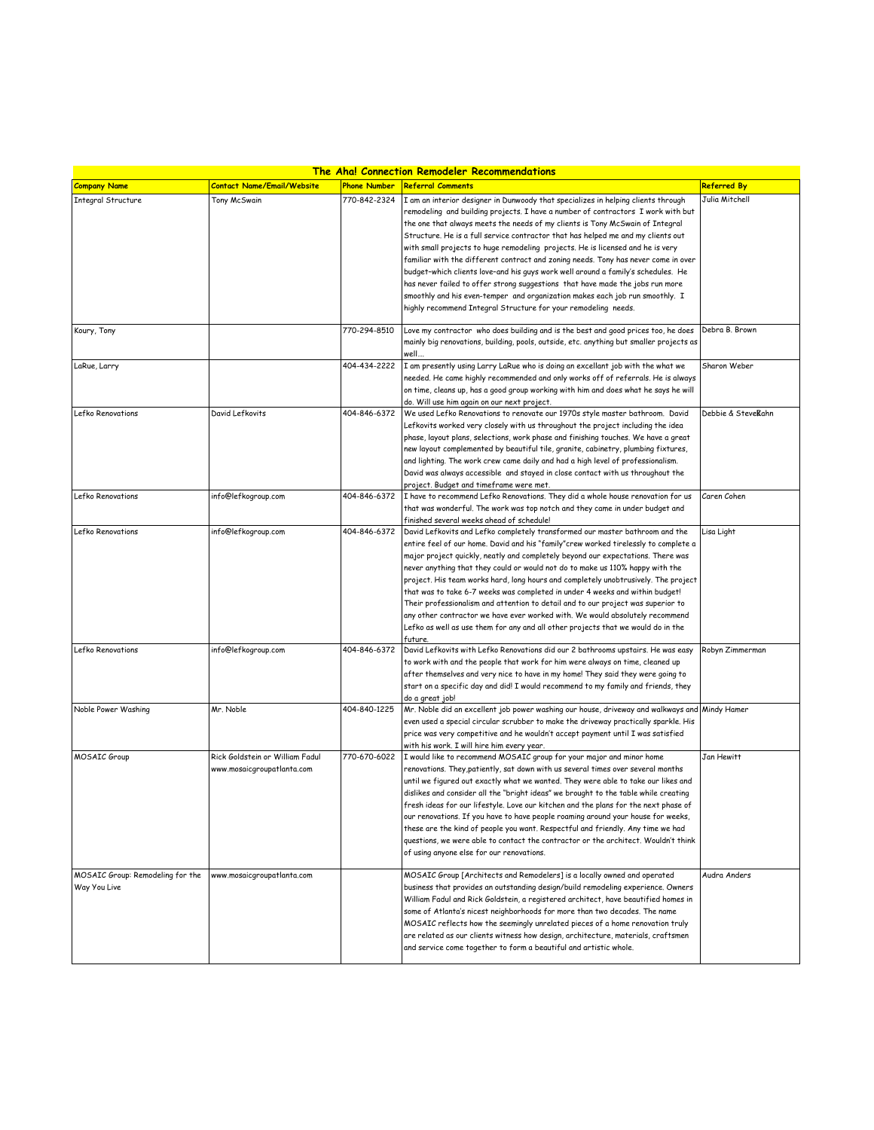| <b>The Aha! Connection Remodeler Recommendations</b> |                                   |                     |                                                                                                                                                                            |                    |  |  |
|------------------------------------------------------|-----------------------------------|---------------------|----------------------------------------------------------------------------------------------------------------------------------------------------------------------------|--------------------|--|--|
| <b>Company Name</b>                                  | <b>Contact Name/Email/Website</b> | <b>Phone Number</b> | <b>Referral Comments</b>                                                                                                                                                   | <b>Referred By</b> |  |  |
| <b>Integral Structure</b>                            | Tony McSwain                      | 770-842-2324        | I am an interior designer in Dunwoody that specializes in helping clients through                                                                                          | Julia Mitchell     |  |  |
|                                                      |                                   |                     | remodeling and building projects. I have a number of contractors I work with but                                                                                           |                    |  |  |
|                                                      |                                   |                     | the one that always meets the needs of my clients is Tony McSwain of Integral                                                                                              |                    |  |  |
|                                                      |                                   |                     | Structure. He is a full service contractor that has helped me and my clients out                                                                                           |                    |  |  |
|                                                      |                                   |                     | with small projects to huge remodeling projects. He is licensed and he is very                                                                                             |                    |  |  |
|                                                      |                                   |                     | familiar with the different contract and zoning needs. Tony has never come in over                                                                                         |                    |  |  |
|                                                      |                                   |                     | budget-which clients love-and his guys work well around a family's schedules. He                                                                                           |                    |  |  |
|                                                      |                                   |                     | has never failed to offer strong suggestions that have made the jobs run more                                                                                              |                    |  |  |
|                                                      |                                   |                     | smoothly and his even-temper and organization makes each job run smoothly. I                                                                                               |                    |  |  |
|                                                      |                                   |                     | highly recommend Integral Structure for your remodeling needs.                                                                                                             |                    |  |  |
|                                                      |                                   |                     |                                                                                                                                                                            |                    |  |  |
| Koury, Tony                                          |                                   | 770-294-8510        | Love my contractor who does building and is the best and good prices too, he does                                                                                          | Debra B. Brown     |  |  |
|                                                      |                                   |                     | mainly big renovations, building, pools, outside, etc. anything but smaller projects as                                                                                    |                    |  |  |
|                                                      |                                   |                     | well…                                                                                                                                                                      |                    |  |  |
| LaRue, Larry                                         |                                   | 404-434-2222        | I am presently using Larry LaRue who is doing an excellant job with the what we                                                                                            | Sharon Weber       |  |  |
|                                                      |                                   |                     | needed. He came highly recommended and only works off of referrals. He is always                                                                                           |                    |  |  |
|                                                      |                                   |                     | on time, cleans up, has a good group working with him and does what he says he will                                                                                        |                    |  |  |
| Lefko Renovations                                    | David Lefkovits                   | 404-846-6372        | do. Will use him again on our next project.<br>We used Lefko Renovations to renovate our 1970s style master bathroom. David                                                | Debbie & Stevekahn |  |  |
|                                                      |                                   |                     | Lefkovits worked very closely with us throughout the project including the idea                                                                                            |                    |  |  |
|                                                      |                                   |                     | phase, layout plans, selections, work phase and finishing touches. We have a great                                                                                         |                    |  |  |
|                                                      |                                   |                     | new layout complemented by beautiful tile, granite, cabinetry, plumbing fixtures,                                                                                          |                    |  |  |
|                                                      |                                   |                     | and lighting. The work crew came daily and had a high level of professionalism.                                                                                            |                    |  |  |
|                                                      |                                   |                     | David was always accessible and stayed in close contact with us throughout the                                                                                             |                    |  |  |
|                                                      |                                   |                     | project. Budget and timeframe were met.                                                                                                                                    |                    |  |  |
| Lefko Renovations                                    | info@lefkogroup.com               | 404-846-6372        | I have to recommend Lefko Renovations. They did a whole house renovation for us                                                                                            | Caren Cohen        |  |  |
|                                                      |                                   |                     | that was wonderful. The work was top notch and they came in under budget and                                                                                               |                    |  |  |
|                                                      |                                   |                     | finished several weeks ahead of schedule!                                                                                                                                  |                    |  |  |
| Lefko Renovations                                    | info@lefkogroup.com               | 404-846-6372        | David Lefkovits and Lefko completely transformed our master bathroom and the                                                                                               | Lisa Light         |  |  |
|                                                      |                                   |                     | entire feel of our home. David and his "family"crew worked tirelessly to complete a                                                                                        |                    |  |  |
|                                                      |                                   |                     | major project quickly, neatly and completely beyond our expectations. There was                                                                                            |                    |  |  |
|                                                      |                                   |                     | never anything that they could or would not do to make us 110% happy with the                                                                                              |                    |  |  |
|                                                      |                                   |                     | project. His team works hard, long hours and completely unobtrusively. The project                                                                                         |                    |  |  |
|                                                      |                                   |                     | that was to take 6-7 weeks was completed in under 4 weeks and within budget!                                                                                               |                    |  |  |
|                                                      |                                   |                     | Their professionalism and attention to detail and to our project was superior to                                                                                           |                    |  |  |
|                                                      |                                   |                     | any other contractor we have ever worked with. We would absolutely recommend                                                                                               |                    |  |  |
|                                                      |                                   |                     | Lefko as well as use them for any and all other projects that we would do in the                                                                                           |                    |  |  |
|                                                      |                                   |                     | future                                                                                                                                                                     |                    |  |  |
| Lefko Renovations                                    | info@lefkogroup.com               | 404-846-6372        | David Lefkovits with Lefko Renovations did our 2 bathrooms upstairs. He was easy                                                                                           | Robyn Zimmerman    |  |  |
|                                                      |                                   |                     | to work with and the people that work for him were always on time, cleaned up                                                                                              |                    |  |  |
|                                                      |                                   |                     | after themselves and very nice to have in my home! They said they were going to                                                                                            |                    |  |  |
|                                                      |                                   |                     | start on a specific day and did! I would recommend to my family and friends, they                                                                                          |                    |  |  |
|                                                      |                                   |                     | do a great job!                                                                                                                                                            |                    |  |  |
| Noble Power Washing                                  | Mr. Noble                         | 404-840-1225        | Mr. Noble did an excellent job power washing our house, driveway and walkways and                                                                                          | Mindy Hamer        |  |  |
|                                                      |                                   |                     | even used a special circular scrubber to make the driveway practically sparkle. His                                                                                        |                    |  |  |
|                                                      |                                   |                     | price was very competitive and he wouldn't accept payment until I was satisfied                                                                                            |                    |  |  |
|                                                      |                                   |                     | with his work. I will hire him every year.                                                                                                                                 |                    |  |  |
| <b>MOSAIC Group</b>                                  | Rick Goldstein or William Fadul   | 770-670-6022        | I would like to recommend MOSAIC group for your major and minor home                                                                                                       | Jan Hewitt         |  |  |
|                                                      | www.mosaicgroupatlanta.com        |                     | renovations. They,patiently, sat down with us several times over several months                                                                                            |                    |  |  |
|                                                      |                                   |                     | until we figured out exactly what we wanted. They were able to take our likes and                                                                                          |                    |  |  |
|                                                      |                                   |                     | dislikes and consider all the "bright ideas" we brought to the table while creating<br>fresh ideas for our lifestyle. Love our kitchen and the plans for the next phase of |                    |  |  |
|                                                      |                                   |                     | our renovations. If you have to have people roaming around your house for weeks,                                                                                           |                    |  |  |
|                                                      |                                   |                     | these are the kind of people you want. Respectful and friendly. Any time we had                                                                                            |                    |  |  |
|                                                      |                                   |                     | questions, we were able to contact the contractor or the architect. Wouldn't think                                                                                         |                    |  |  |
|                                                      |                                   |                     | of using anyone else for our renovations.                                                                                                                                  |                    |  |  |
|                                                      |                                   |                     |                                                                                                                                                                            |                    |  |  |
| MOSAIC Group: Remodeling for the                     | www.mosaicgroupatlanta.com        |                     | MOSAIC Group [Architects and Remodelers] is a locally owned and operated                                                                                                   | Audra Anders       |  |  |
| Way You Live                                         |                                   |                     | business that provides an outstanding design/build remodeling experience. Owners                                                                                           |                    |  |  |
|                                                      |                                   |                     | William Fadul and Rick Goldstein, a registered architect, have beautified homes in                                                                                         |                    |  |  |
|                                                      |                                   |                     | some of Atlanta's nicest neighborhoods for more than two decades. The name                                                                                                 |                    |  |  |
|                                                      |                                   |                     | MOSAIC reflects how the seemingly unrelated pieces of a home renovation truly                                                                                              |                    |  |  |
|                                                      |                                   |                     | are related as our clients witness how design, architecture, materials, craftsmen                                                                                          |                    |  |  |
|                                                      |                                   |                     | and service come together to form a beautiful and artistic whole.                                                                                                          |                    |  |  |
|                                                      |                                   |                     |                                                                                                                                                                            |                    |  |  |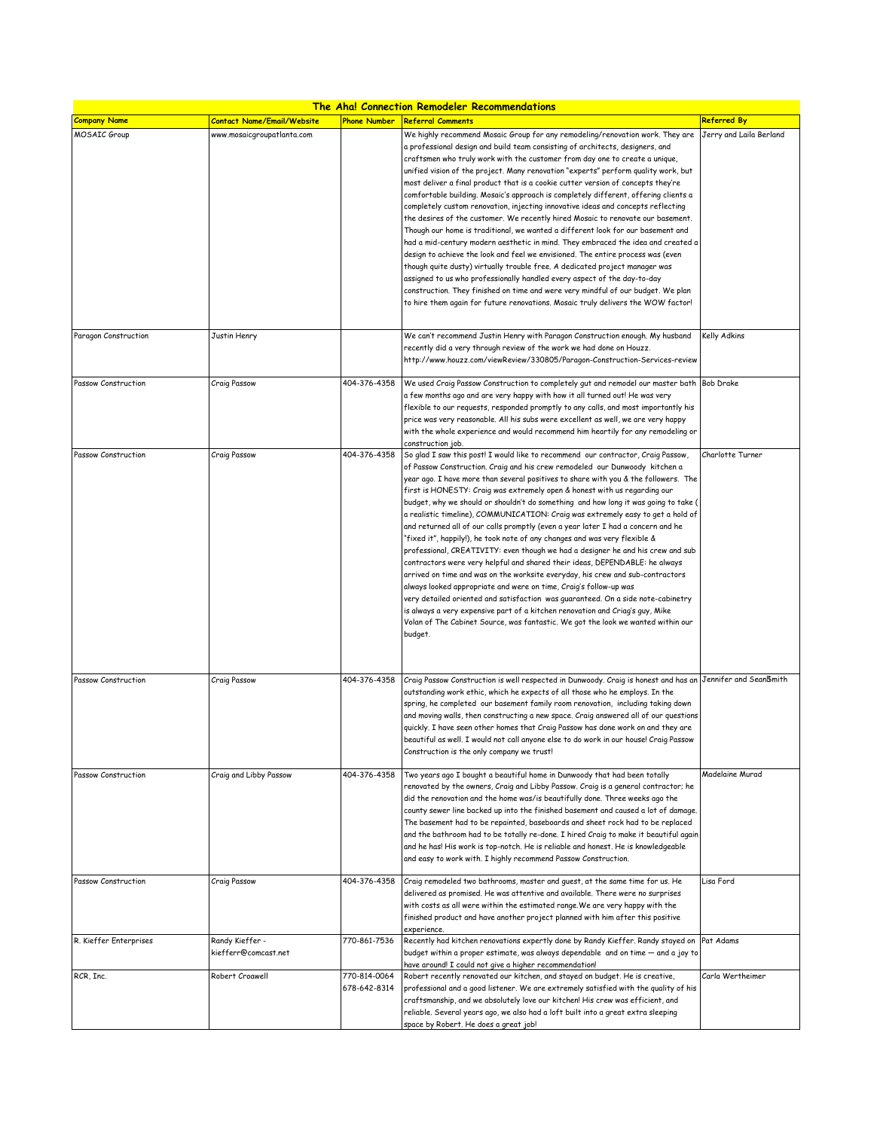| The Aha! Connection Remodeler Recommendations |                                         |                              |                                                                                                                                                                                                                                                                                                                                                                                                                                                                                                                                                                                                                                                                                                                                                                                                                                                                                                                                                                                                                                                                                                                                                                                                                                                                              |                         |  |
|-----------------------------------------------|-----------------------------------------|------------------------------|------------------------------------------------------------------------------------------------------------------------------------------------------------------------------------------------------------------------------------------------------------------------------------------------------------------------------------------------------------------------------------------------------------------------------------------------------------------------------------------------------------------------------------------------------------------------------------------------------------------------------------------------------------------------------------------------------------------------------------------------------------------------------------------------------------------------------------------------------------------------------------------------------------------------------------------------------------------------------------------------------------------------------------------------------------------------------------------------------------------------------------------------------------------------------------------------------------------------------------------------------------------------------|-------------------------|--|
| <b>Company Name</b>                           | Contact Name/Email/Website              | <b>Phone Number</b>          | <b>Referral Comments</b>                                                                                                                                                                                                                                                                                                                                                                                                                                                                                                                                                                                                                                                                                                                                                                                                                                                                                                                                                                                                                                                                                                                                                                                                                                                     | <b>Referred By</b>      |  |
| MOSAIC Group                                  | www.mosaicgroupatlanta.com              |                              | We highly recommend Mosaic Group for any remodeling/renovation work. They are<br>a professional design and build team consisting of architects, designers, and<br>craftsmen who truly work with the customer from day one to create a unique,<br>unified vision of the project. Many renovation "experts" perform quality work, but<br>most deliver a final product that is a cookie cutter version of concepts they're<br>comfortable building. Mosaic's approach is completely different, offering clients a<br>completely custom renovation, injecting innovative ideas and concepts reflecting<br>the desires of the customer. We recently hired Mosaic to renovate our basement.<br>Though our home is traditional, we wanted a different look for our basement and<br>had a mid-century modern aesthetic in mind. They embraced the idea and created a<br>design to achieve the look and feel we envisioned. The entire process was (even<br>though quite dusty) virtually trouble free. A dedicated project manager was<br>assigned to us who professionally handled every aspect of the day-to-day                                                                                                                                                                   | Jerry and Laila Berland |  |
| Paragon Construction                          | Justin Henry                            |                              | construction. They finished on time and were very mindful of our budget. We plan<br>to hire them again for future renovations. Mosaic truly delivers the WOW factor!<br>We can't recommend Justin Henry with Paragon Construction enough. My husband<br>recently did a very through review of the work we had done on Houzz.<br>http://www.houzz.com/viewReview/330805/Paragon-Construction-Services-review                                                                                                                                                                                                                                                                                                                                                                                                                                                                                                                                                                                                                                                                                                                                                                                                                                                                  | Kelly Adkins            |  |
| Passow Construction                           | Craig Passow                            | 404-376-4358                 | We used Craig Passow Construction to completely gut and remodel our master bath Bob Drake<br>a few months ago and are very happy with how it all turned out! He was very<br>flexible to our requests, responded promptly to any calls, and most importantly his<br>price was very reasonable. All his subs were excellent as well, we are very happy<br>with the whole experience and would recommend him heartily for any remodeling or<br>construction job.                                                                                                                                                                                                                                                                                                                                                                                                                                                                                                                                                                                                                                                                                                                                                                                                                |                         |  |
| Passow Construction                           | Craig Passow                            | 404-376-4358                 | So glad I saw this post! I would like to recommend our contractor, Craig Passow,<br>of Passow Construction. Craig and his crew remodeled our Dunwoody kitchen a<br>year ago. I have more than several positives to share with you & the followers. The<br>first is HONESTY: Craig was extremely open & honest with us regarding our<br>budget, why we should or shouldn't do something and how long it was going to take (<br>a realistic timeline), COMMUNICATION: Craig was extremely easy to get a hold of<br>and returned all of our calls promptly (even a year later I had a concern and he<br>"fixed it", happily!), he took note of any changes and was very flexible &<br>professional, CREATIVITY: even though we had a designer he and his crew and sub<br>contractors were very helpful and shared their ideas, DEPENDABLE: he always<br>arrived on time and was on the worksite everyday, his crew and sub-contractors<br>always looked appropriate and were on time, Craig's follow-up was<br>very detailed oriented and satisfaction was guaranteed. On a side note-cabinetry<br>is always a very expensive part of a kitchen renovation and Criag's guy, Mike<br>Volan of The Cabinet Source, was fantastic. We got the look we wanted within our<br>budget. | Charlotte Turner        |  |
| Passow Construction                           | Craig Passow                            | 404-376-4358                 | Craig Passow Construction is well respected in Dunwoody. Craig is honest and has an Jennifer and SeanBmith<br>outstanding work ethic, which he expects of all those who he employs. In the<br>spring, he completed our basement family room renovation, including taking down<br>and moving walls, then constructing a new space. Craig answered all of our questions<br>quickly. I have seen other homes that Craig Passow has done work on and they are<br>peautiful as well. I would not call anyone else to do work in our house! Craig Passow<br>Construction is the only company we trust!                                                                                                                                                                                                                                                                                                                                                                                                                                                                                                                                                                                                                                                                             |                         |  |
| Passow Construction                           | Craig and Libby Passow                  | 404-376-4358                 | Two years ago I bought a beautiful home in Dunwoody that had been totally<br>renovated by the owners, Craig and Libby Passow. Craig is a general contractor; he<br>did the renovation and the home was/is beautifully done. Three weeks ago the<br>county sewer line backed up into the finished basement and caused a lot of damage.<br>The basement had to be repainted, baseboards and sheet rock had to be replaced<br>and the bathroom had to be totally re-done. I hired Craig to make it beautiful again<br>and he has! His work is top-notch. He is reliable and honest. He is knowledgeable<br>and easy to work with. I highly recommend Passow Construction.                                                                                                                                                                                                                                                                                                                                                                                                                                                                                                                                                                                                       | Madelaine Murad         |  |
| Passow Construction                           | Craig Passow                            | 404-376-4358                 | Craig remodeled two bathrooms, master and quest, at the same time for us. He<br>delivered as promised. He was attentive and available. There were no surprises<br>with costs as all were within the estimated range. We are very happy with the<br>finished product and have another project planned with him after this positive<br>experience.                                                                                                                                                                                                                                                                                                                                                                                                                                                                                                                                                                                                                                                                                                                                                                                                                                                                                                                             | Lisa Ford               |  |
| R. Kieffer Enterprises                        | Randy Kieffer -<br>kiefferr@comcast.net | 770-861-7536                 | Recently had kitchen renovations expertly done by Randy Kieffer. Randy stayed on Pat Adams<br>budget within a proper estimate, was always dependable and on time - and a joy to<br>have around! I could not give a higher recommendation!                                                                                                                                                                                                                                                                                                                                                                                                                                                                                                                                                                                                                                                                                                                                                                                                                                                                                                                                                                                                                                    |                         |  |
| RCR, Inc.                                     | Robert Croawell                         | 770-814-0064<br>678-642-8314 | Robert recently renovated our kitchen, and stayed on budget. He is creative,<br>professional and a good listener. We are extremely satisfied with the quality of his<br>craftsmanship, and we absolutely love our kitchen! His crew was efficient, and<br>reliable. Several years ago, we also had a loft built into a great extra sleeping<br>space by Robert. He does a great job!                                                                                                                                                                                                                                                                                                                                                                                                                                                                                                                                                                                                                                                                                                                                                                                                                                                                                         | Carla Wertheimer        |  |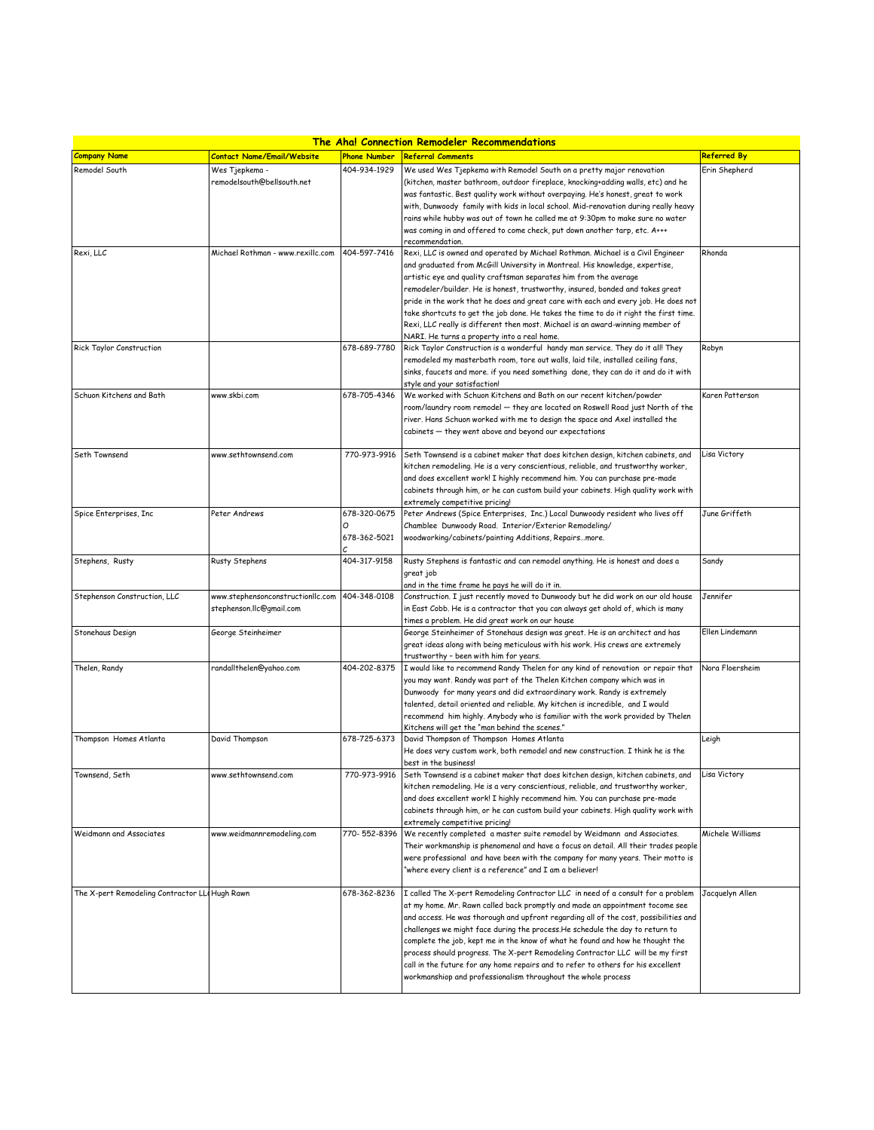| <b>The Aha! Connection Remodeler Recommendations</b> |                                                               |                     |                                                                                                                                                                        |                  |  |
|------------------------------------------------------|---------------------------------------------------------------|---------------------|------------------------------------------------------------------------------------------------------------------------------------------------------------------------|------------------|--|
| <b>Company Name</b>                                  | <b>Contact Name/Email/Website</b>                             | <b>Phone Number</b> | <b>Referral Comments</b>                                                                                                                                               | Referred By      |  |
| Remodel South                                        | Wes Tjepkema -                                                | 404-934-1929        | We used Wes Tjepkema with Remodel South on a pretty major renovation                                                                                                   | Erin Shepherd    |  |
|                                                      | remodelsouth@bellsouth.net                                    |                     | (kitchen, master bathroom, outdoor fireplace, knocking+adding walls, etc) and he                                                                                       |                  |  |
|                                                      |                                                               |                     | was fantastic. Best quality work without overpaying. He's honest, great to work                                                                                        |                  |  |
|                                                      |                                                               |                     | with, Dunwoody family with kids in local school. Mid-renovation during really heavy                                                                                    |                  |  |
|                                                      |                                                               |                     | rains while hubby was out of town he called me at 9:30pm to make sure no water                                                                                         |                  |  |
|                                                      |                                                               |                     | was coming in and offered to come check, put down another tarp, etc. A+++                                                                                              |                  |  |
| Rexi, LLC                                            | Michael Rothman - www.rexillc.com                             | 404-597-7416        | recommendation.<br>Rexi, LLC is owned and operated by Michael Rothman. Michael is a Civil Engineer                                                                     | Rhonda           |  |
|                                                      |                                                               |                     | and graduated from McGill University in Montreal. His knowledge, expertise,                                                                                            |                  |  |
|                                                      |                                                               |                     | artistic eye and quality craftsman separates him from the average                                                                                                      |                  |  |
|                                                      |                                                               |                     | remodeler/builder. He is honest, trustworthy, insured, bonded and takes great                                                                                          |                  |  |
|                                                      |                                                               |                     | pride in the work that he does and great care with each and every job. He does not                                                                                     |                  |  |
|                                                      |                                                               |                     | take shortcuts to get the job done. He takes the time to do it right the first time.                                                                                   |                  |  |
|                                                      |                                                               |                     | Rexi, LLC really is different then most. Michael is an award-winning member of                                                                                         |                  |  |
|                                                      |                                                               |                     | NARI. He turns a property into a real home.                                                                                                                            |                  |  |
| Rick Taylor Construction                             |                                                               | 678-689-7780        | Rick Taylor Construction is a wonderful handy man service. They do it all! They                                                                                        | Robyn            |  |
|                                                      |                                                               |                     | remodeled my masterbath room, tore out walls, laid tile, installed ceiling fans,<br>sinks, faucets and more. if you need something done, they can do it and do it with |                  |  |
|                                                      |                                                               |                     | style and your satisfaction!                                                                                                                                           |                  |  |
| Schuon Kitchens and Bath                             | www.skbi.com                                                  | 678-705-4346        | We worked with Schuon Kitchens and Bath on our recent kitchen/powder                                                                                                   | Karen Patterson  |  |
|                                                      |                                                               |                     | room/laundry room remodel — they are located on Roswell Road just North of the                                                                                         |                  |  |
|                                                      |                                                               |                     | river. Hans Schuon worked with me to design the space and Axel installed the                                                                                           |                  |  |
|                                                      |                                                               |                     | cabinets - they went above and beyond our expectations                                                                                                                 |                  |  |
|                                                      |                                                               |                     |                                                                                                                                                                        |                  |  |
| Seth Townsend                                        | www.sethtownsend.com                                          | 770-973-9916        | Seth Townsend is a cabinet maker that does kitchen design, kitchen cabinets, and                                                                                       | Lisa Victory     |  |
|                                                      |                                                               |                     | kitchen remodeling. He is a very conscientious, reliable, and trustworthy worker,                                                                                      |                  |  |
|                                                      |                                                               |                     | and does excellent work! I highly recommend him. You can purchase pre-made<br>cabinets through him, or he can custom build your cabinets. High quality work with       |                  |  |
|                                                      |                                                               |                     | extremely competitive pricing!                                                                                                                                         |                  |  |
| Spice Enterprises, Inc                               | Peter Andrews                                                 | 678-320-0675        | Peter Andrews (Spice Enterprises, Inc.) Local Dunwoody resident who lives off                                                                                          | June Griffeth    |  |
|                                                      |                                                               |                     | Chamblee Dunwoody Road. Interior/Exterior Remodeling/                                                                                                                  |                  |  |
|                                                      |                                                               | 678-362-5021        | woodworking/cabinets/painting Additions, Repairsmore.                                                                                                                  |                  |  |
|                                                      |                                                               |                     |                                                                                                                                                                        |                  |  |
| Stephens, Rusty                                      | Rusty Stephens                                                | 404-317-9158        | Rusty Stephens is fantastic and can remodel anything. He is honest and does a                                                                                          | Sandy            |  |
|                                                      |                                                               |                     | great job                                                                                                                                                              |                  |  |
|                                                      |                                                               | 404-348-0108        | and in the time frame he pays he will do it in.                                                                                                                        |                  |  |
| Stephenson Construction, LLC                         | www.stephensonconstructionllc.com<br>stephenson.llc@gmail.com |                     | Construction. I just recently moved to Dunwoody but he did work on our old house<br>in East Cobb. He is a contractor that you can always get ahold of, which is many   | Jennifer         |  |
|                                                      |                                                               |                     | times a problem. He did great work on our house                                                                                                                        |                  |  |
| Stonehaus Design                                     | George Steinheimer                                            |                     | George Steinheimer of Stonehaus design was great. He is an architect and has                                                                                           | Ellen Lindemann  |  |
|                                                      |                                                               |                     | great ideas along with being meticulous with his work. His crews are extremely                                                                                         |                  |  |
|                                                      |                                                               |                     | trustworthy - been with him for years.                                                                                                                                 |                  |  |
| Thelen, Randy                                        | randallthelen@yahoo.com                                       | 404-202-8375        | I would like to recommend Randy Thelen for any kind of renovation or repair that                                                                                       | Nora Floersheim  |  |
|                                                      |                                                               |                     | you may want. Randy was part of the Thelen Kitchen company which was in                                                                                                |                  |  |
|                                                      |                                                               |                     | Dunwoody for many years and did extraordinary work. Randy is extremely                                                                                                 |                  |  |
|                                                      |                                                               |                     | talented, detail oriented and reliable. My kitchen is incredible, and I would<br>recommend him highly. Anybody who is familiar with the work provided by Thelen        |                  |  |
|                                                      |                                                               |                     | Kitchens will get the "man behind the scenes."                                                                                                                         |                  |  |
| Thompson Homes Atlanta                               | David Thompson                                                | 678-725-6373        | David Thompson of Thompson Homes Atlanta                                                                                                                               | Leigh            |  |
|                                                      |                                                               |                     | He does very custom work, both remodel and new construction. I think he is the                                                                                         |                  |  |
|                                                      |                                                               |                     | best in the business!                                                                                                                                                  |                  |  |
| Townsend, Seth                                       | www.sethtownsend.com                                          | 770-973-9916        | Seth Townsend is a cabinet maker that does kitchen design, kitchen cabinets, and Lisa Victory                                                                          |                  |  |
|                                                      |                                                               |                     | kitchen remodeling. He is a very conscientious, reliable, and trustworthy worker,                                                                                      |                  |  |
|                                                      |                                                               |                     | and does excellent work! I highly recommend him. You can purchase pre-made                                                                                             |                  |  |
|                                                      |                                                               |                     | cabinets through him, or he can custom build your cabinets. High quality work with<br>extremely competitive pricing!                                                   |                  |  |
| Weidmann and Associates                              | www.weidmannremodeling.com                                    | 770-552-8396        | We recently completed a master suite remodel by Weidmann and Associates.                                                                                               | Michele Williams |  |
|                                                      |                                                               |                     | Their workmanship is phenomenal and have a focus on detail. All their trades people                                                                                    |                  |  |
|                                                      |                                                               |                     | were professional and have been with the company for many years. Their motto is                                                                                        |                  |  |
|                                                      |                                                               |                     | "where every client is a reference" and I am a believer!                                                                                                               |                  |  |
|                                                      |                                                               |                     |                                                                                                                                                                        |                  |  |
| The X-pert Remodeling Contractor LLI Hugh Rawn       |                                                               | 678-362-8236        | I called The X-pert Remodeling Contractor LLC in need of a consult for a problem                                                                                       | Jacquelyn Allen  |  |
|                                                      |                                                               |                     | at my home. Mr. Rawn called back promptly and made an appointment tocome see                                                                                           |                  |  |
|                                                      |                                                               |                     | and access. He was thorough and upfront regarding all of the cost, possibilities and                                                                                   |                  |  |
|                                                      |                                                               |                     | challenges we might face during the process. He schedule the day to return to                                                                                          |                  |  |
|                                                      |                                                               |                     | complete the job, kept me in the know of what he found and how he thought the                                                                                          |                  |  |
|                                                      |                                                               |                     | process should progress. The X-pert Remodeling Contractor LLC will be my first<br>call in the future for any home repairs and to refer to others for his excellent     |                  |  |
|                                                      |                                                               |                     | workmanshiop and professionalism throughout the whole process                                                                                                          |                  |  |
|                                                      |                                                               |                     |                                                                                                                                                                        |                  |  |